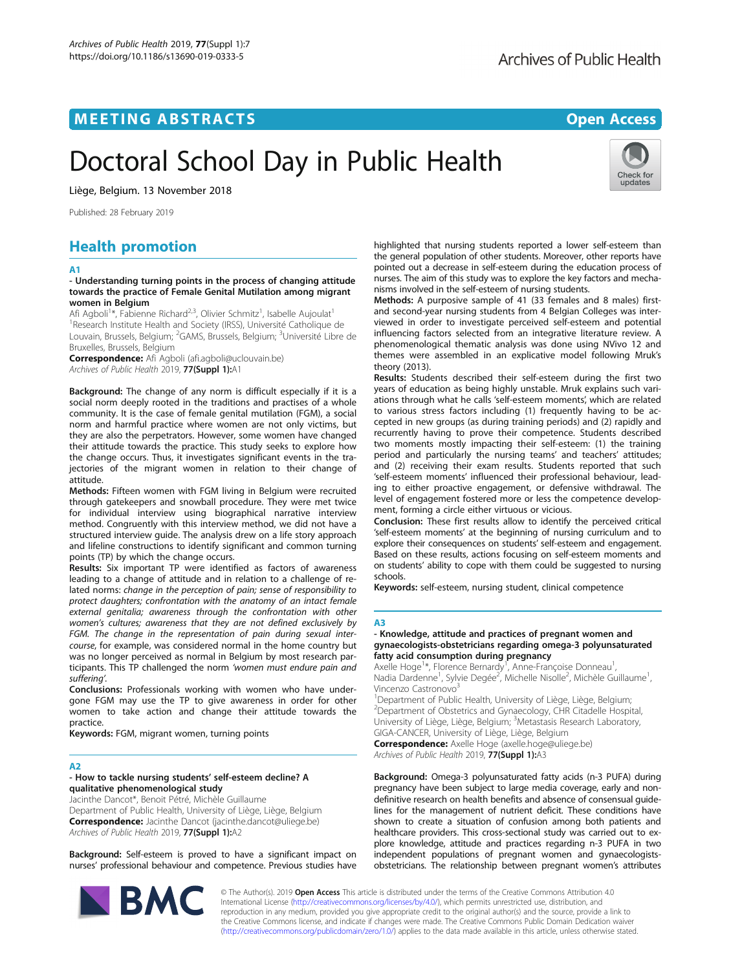Check for updates

# Doctoral School Day in Public Health

Liège, Belgium. 13 November 2018

Published: 28 February 2019

# Health promotion

# A1

- Understanding turning points in the process of changing attitude towards the practice of Female Genital Mutilation among migrant women in Belgium

Afi Agboli<sup>1\*</sup>, Fabienne Richard<sup>2,3</sup>, Olivier Schmitz<sup>1</sup>, Isabelle Aujoulat<sup>1</sup> <sup>1</sup>Research Institute Health and Society (IRSS), Université Catholique de Louvain, Brussels, Belgium; <sup>2</sup>GAMS, Brussels, Belgium; <sup>3</sup>Université Libre de Bruxelles, Brussels, Belgium

Correspondence: Afi Agboli (afi.agboli@uclouvain.be) Archives of Public Health 2019, 77(Suppl 1):A1

Background: The change of any norm is difficult especially if it is a social norm deeply rooted in the traditions and practises of a whole community. It is the case of female genital mutilation (FGM), a social norm and harmful practice where women are not only victims, but they are also the perpetrators. However, some women have changed their attitude towards the practice. This study seeks to explore how the change occurs. Thus, it investigates significant events in the trajectories of the migrant women in relation to their change of attitude.

Methods: Fifteen women with FGM living in Belgium were recruited through gatekeepers and snowball procedure. They were met twice for individual interview using biographical narrative interview method. Congruently with this interview method, we did not have a structured interview guide. The analysis drew on a life story approach and lifeline constructions to identify significant and common turning points (TP) by which the change occurs.

Results: Six important TP were identified as factors of awareness leading to a change of attitude and in relation to a challenge of related norms: change in the perception of pain; sense of responsibility to protect daughters; confrontation with the anatomy of an intact female external genitalia; awareness through the confrontation with other women's cultures; awareness that they are not defined exclusively by FGM. The change in the representation of pain during sexual intercourse, for example, was considered normal in the home country but was no longer perceived as normal in Belgium by most research participants. This TP challenged the norm 'women must endure pain and suffering'.

Conclusions: Professionals working with women who have undergone FGM may use the TP to give awareness in order for other women to take action and change their attitude towards the practice.

Keywords: FGM, migrant women, turning points

# $A2$

# - How to tackle nursing students' self-esteem decline? A qualitative phenomenological study

Jacinthe Dancot\*, Benoit Pétré, Michèle Guillaume Department of Public Health, University of Liège, Liège, Belgium Correspondence: Jacinthe Dancot (jacinthe.dancot@uliege.be) Archives of Public Health 2019, 77(Suppl 1):A2

Background: Self-esteem is proved to have a significant impact on nurses' professional behaviour and competence. Previous studies have



highlighted that nursing students reported a lower self-esteem than the general population of other students. Moreover, other reports have pointed out a decrease in self-esteem during the education process of nurses. The aim of this study was to explore the key factors and mechanisms involved in the self-esteem of nursing students.

Methods: A purposive sample of 41 (33 females and 8 males) firstand second-year nursing students from 4 Belgian Colleges was interviewed in order to investigate perceived self-esteem and potential influencing factors selected from an integrative literature review. A phenomenological thematic analysis was done using NVivo 12 and themes were assembled in an explicative model following Mruk's theory (2013).

Results: Students described their self-esteem during the first two years of education as being highly unstable. Mruk explains such variations through what he calls 'self-esteem moments', which are related to various stress factors including (1) frequently having to be accepted in new groups (as during training periods) and (2) rapidly and recurrently having to prove their competence. Students described two moments mostly impacting their self-esteem: (1) the training period and particularly the nursing teams' and teachers' attitudes; and (2) receiving their exam results. Students reported that such 'self-esteem moments' influenced their professional behaviour, leading to either proactive engagement, or defensive withdrawal. The level of engagement fostered more or less the competence development, forming a circle either virtuous or vicious.

Conclusion: These first results allow to identify the perceived critical 'self-esteem moments' at the beginning of nursing curriculum and to explore their consequences on students' self-esteem and engagement. Based on these results, actions focusing on self-esteem moments and on students' ability to cope with them could be suggested to nursing schools.

Keywords: self-esteem, nursing student, clinical competence

# A3

# - Knowledge, attitude and practices of pregnant women and gynaecologists-obstetricians regarding omega-3 polyunsaturated fatty acid consumption during pregnancy

Axelle Hoge<sup>1\*</sup>, Florence Bernardy<sup>1</sup>, Anne-Françoise Donneau<sup>1</sup> , Nadia Dardenne<sup>1</sup>, Sylvie Degée<sup>2</sup>, Michelle Nisolle<sup>2</sup>, Michèle Guillaume<sup>1</sup> , Vincenzo Castronovo<sup>3</sup>

<sup>1</sup>Department of Public Health, University of Liège, Liège, Belgium <sup>2</sup>Department of Obstetrics and Gynaecology, CHR Citadelle Hospital University of Liège, Liège, Belgium; <sup>3</sup>Metastasis Research Laboratory, GIGA-CANCER, University of Liège, Liège, Belgium

Correspondence: Axelle Hoge (axelle.hoge@uliege.be) Archives of Public Health 2019, 77(Suppl 1):A3

Background: Omega-3 polyunsaturated fatty acids (n-3 PUFA) during pregnancy have been subject to large media coverage, early and nondefinitive research on health benefits and absence of consensual guidelines for the management of nutrient deficit. These conditions have shown to create a situation of confusion among both patients and healthcare providers. This cross-sectional study was carried out to explore knowledge, attitude and practices regarding n-3 PUFA in two independent populations of pregnant women and gynaecologistsobstetricians. The relationship between pregnant women's attributes

© The Author(s). 2019 Open Access This article is distributed under the terms of the Creative Commons Attribution 4.0 International License ([http://creativecommons.org/licenses/by/4.0/\)](http://creativecommons.org/licenses/by/4.0/), which permits unrestricted use, distribution, and reproduction in any medium, provided you give appropriate credit to the original author(s) and the source, provide a link to the Creative Commons license, and indicate if changes were made. The Creative Commons Public Domain Dedication waiver ([http://creativecommons.org/publicdomain/zero/1.0/\)](http://creativecommons.org/publicdomain/zero/1.0/) applies to the data made available in this article, unless otherwise stated.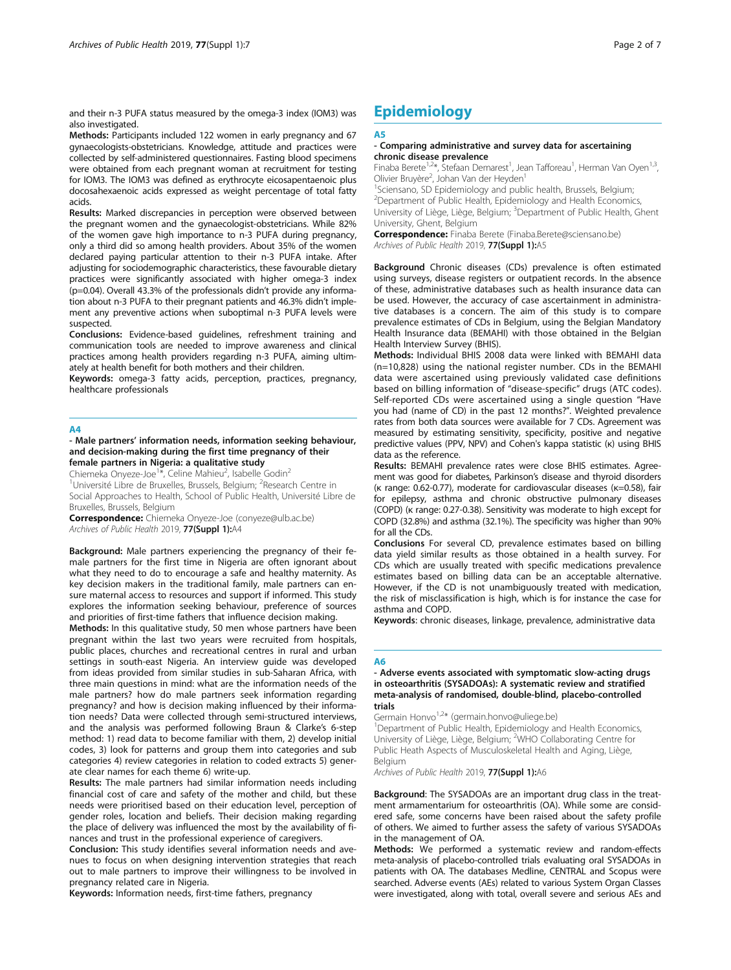and their n-3 PUFA status measured by the omega-3 index (IOM3) was also investigated.

Methods: Participants included 122 women in early pregnancy and 67 gynaecologists-obstetricians. Knowledge, attitude and practices were collected by self-administered questionnaires. Fasting blood specimens were obtained from each pregnant woman at recruitment for testing for IOM3. The IOM3 was defined as erythrocyte eicosapentaenoic plus docosahexaenoic acids expressed as weight percentage of total fatty acids.

Results: Marked discrepancies in perception were observed between the pregnant women and the gynaecologist-obstetricians. While 82% of the women gave high importance to n-3 PUFA during pregnancy, only a third did so among health providers. About 35% of the women declared paying particular attention to their n-3 PUFA intake. After adjusting for sociodemographic characteristics, these favourable dietary practices were significantly associated with higher omega-3 index (p=0.04). Overall 43.3% of the professionals didn't provide any information about n-3 PUFA to their pregnant patients and 46.3% didn't implement any preventive actions when suboptimal n-3 PUFA levels were suspected.

Conclusions: Evidence-based guidelines, refreshment training and communication tools are needed to improve awareness and clinical practices among health providers regarding n-3 PUFA, aiming ultimately at health benefit for both mothers and their children.

Keywords: omega-3 fatty acids, perception, practices, pregnancy, healthcare professionals

# A4

- Male partners' information needs, information seeking behaviour, and decision-making during the first time pregnancy of their female partners in Nigeria: a qualitative study

Chiemeka Onyeze-Joe<sup>1\*</sup>, Celine Mahieu<sup>2</sup>, Isabelle Godin<sup>2</sup>

<sup>1</sup>Université Libre de Bruxelles, Brussels, Belgium; <sup>2</sup>Research Centre in Social Approaches to Health, School of Public Health, Université Libre de Bruxelles, Brussels, Belgium

Correspondence: Chiemeka Onyeze-Joe (conyeze@ulb.ac.be) Archives of Public Health 2019, 77(Suppl 1):A4

Background: Male partners experiencing the pregnancy of their female partners for the first time in Nigeria are often ignorant about what they need to do to encourage a safe and healthy maternity. As key decision makers in the traditional family, male partners can ensure maternal access to resources and support if informed. This study explores the information seeking behaviour, preference of sources and priorities of first-time fathers that influence decision making.

Methods: In this qualitative study, 50 men whose partners have been pregnant within the last two years were recruited from hospitals, public places, churches and recreational centres in rural and urban settings in south-east Nigeria. An interview guide was developed from ideas provided from similar studies in sub-Saharan Africa, with three main questions in mind: what are the information needs of the male partners? how do male partners seek information regarding pregnancy? and how is decision making influenced by their information needs? Data were collected through semi-structured interviews, and the analysis was performed following Braun & Clarke's 6-step method: 1) read data to become familiar with them, 2) develop initial codes, 3) look for patterns and group them into categories and sub categories 4) review categories in relation to coded extracts 5) generate clear names for each theme 6) write-up.

Results: The male partners had similar information needs including financial cost of care and safety of the mother and child, but these needs were prioritised based on their education level, perception of gender roles, location and beliefs. Their decision making regarding the place of delivery was influenced the most by the availability of finances and trust in the professional experience of caregivers.

Conclusion: This study identifies several information needs and avenues to focus on when designing intervention strategies that reach out to male partners to improve their willingness to be involved in pregnancy related care in Nigeria.

Keywords: Information needs, first-time fathers, pregnancy

# Epidemiology

# A5

# - Comparing administrative and survey data for ascertaining chronic disease prevalence

Finaba Berete<sup>1,2\*</sup>, Stefaan Demarest<sup>1</sup>, Jean Tafforeau<sup>1</sup>, Herman Van Oyen<sup>1,3</sup>, Olivier Bruyère<sup>2</sup>, Johan Van der Heyden<sup>1</sup>

<sup>1</sup>Sciensano, SD Epidemiology and public health, Brussels, Belgium 2 Department of Public Health, Epidemiology and Health Economics, University of Liège, Liège, Belgium; <sup>3</sup>Department of Public Health, Ghent University, Ghent, Belgium

Correspondence: Finaba Berete (Finaba.Berete@sciensano.be) Archives of Public Health 2019, 77(Suppl 1):A5

Background Chronic diseases (CDs) prevalence is often estimated using surveys, disease registers or outpatient records. In the absence of these, administrative databases such as health insurance data can be used. However, the accuracy of case ascertainment in administrative databases is a concern. The aim of this study is to compare prevalence estimates of CDs in Belgium, using the Belgian Mandatory Health Insurance data (BEMAHI) with those obtained in the Belgian Health Interview Survey (BHIS).

Methods: Individual BHIS 2008 data were linked with BEMAHI data (n=10,828) using the national register number. CDs in the BEMAHI data were ascertained using previously validated case definitions based on billing information of "disease-specific" drugs (ATC codes). Self-reported CDs were ascertained using a single question "Have you had (name of CD) in the past 12 months?". Weighted prevalence rates from both data sources were available for 7 CDs. Agreement was measured by estimating sensitivity, specificity, positive and negative predictive values (PPV, NPV) and Cohen's kappa statistic (κ) using BHIS data as the reference.

Results: BEMAHI prevalence rates were close BHIS estimates. Agreement was good for diabetes, Parkinson's disease and thyroid disorders (κ range: 0.62-0.77), moderate for cardiovascular diseases (κ=0.58), fair for epilepsy, asthma and chronic obstructive pulmonary diseases (COPD) (κ range: 0.27-0.38). Sensitivity was moderate to high except for COPD (32.8%) and asthma (32.1%). The specificity was higher than 90% for all the CDs.

Conclusions For several CD, prevalence estimates based on billing data yield similar results as those obtained in a health survey. For CDs which are usually treated with specific medications prevalence estimates based on billing data can be an acceptable alternative. However, if the CD is not unambiguously treated with medication, the risk of misclassification is high, which is for instance the case for asthma and COPD.

Keywords: chronic diseases, linkage, prevalence, administrative data

# A6

# - Adverse events associated with symptomatic slow-acting drugs in osteoarthritis (SYSADOAs): A systematic review and stratified meta-analysis of randomised, double-blind, placebo-controlled trials

Germain Honvo<sup>1,2\*</sup> (germain.honvo@uliege.be)

<sup>1</sup>Department of Public Health, Epidemiology and Health Economics, University of Liège, Liège, Belgium; <sup>2</sup>WHO Collaborating Centre for Public Heath Aspects of Musculoskeletal Health and Aging, Liège, Belgium

Archives of Public Health 2019, 77(Suppl 1):A6

Background: The SYSADOAs are an important drug class in the treatment armamentarium for osteoarthritis (OA). While some are considered safe, some concerns have been raised about the safety profile of others. We aimed to further assess the safety of various SYSADOAs in the management of OA.

Methods: We performed a systematic review and random-effects meta-analysis of placebo-controlled trials evaluating oral SYSADOAs in patients with OA. The databases Medline, CENTRAL and Scopus were searched. Adverse events (AEs) related to various System Organ Classes were investigated, along with total, overall severe and serious AEs and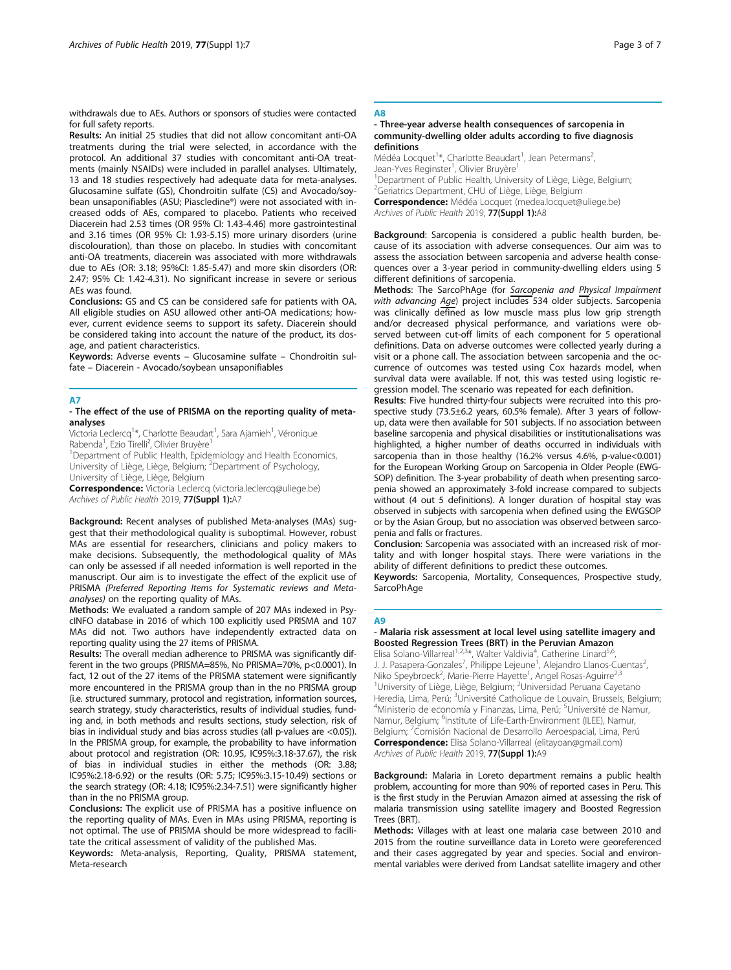withdrawals due to AEs. Authors or sponsors of studies were contacted for full safety reports.

Results: An initial 25 studies that did not allow concomitant anti-OA treatments during the trial were selected, in accordance with the protocol. An additional 37 studies with concomitant anti-OA treatments (mainly NSAIDs) were included in parallel analyses. Ultimately, 13 and 18 studies respectively had adequate data for meta-analyses. Glucosamine sulfate (GS), Chondroitin sulfate (CS) and Avocado/soybean unsaponifiables (ASU; Piascledine®) were not associated with increased odds of AEs, compared to placebo. Patients who received Diacerein had 2.53 times (OR 95% CI: 1.43-4.46) more gastrointestinal and 3.16 times (OR 95% CI: 1.93-5.15) more urinary disorders (urine discolouration), than those on placebo. In studies with concomitant anti-OA treatments, diacerein was associated with more withdrawals due to AEs (OR: 3.18; 95%CI: 1.85-5.47) and more skin disorders (OR: 2.47; 95% CI: 1.42-4.31). No significant increase in severe or serious AEs was found.

Conclusions: GS and CS can be considered safe for patients with OA. All eligible studies on ASU allowed other anti-OA medications; however, current evidence seems to support its safety. Diacerein should be considered taking into account the nature of the product, its dosage, and patient characteristics.

Keywords: Adverse events – Glucosamine sulfate – Chondroitin sulfate – Diacerein - Avocado/soybean unsaponifiables

# A7

- The effect of the use of PRISMA on the reporting quality of metaanalyses

Victoria Leclercq<sup>1\*</sup>, Charlotte Beaudart<sup>1</sup>, Sara Ajamieh<sup>1</sup>, Véronique Rabenda<sup>1</sup>, Ezio Tirelli<sup>2</sup>, Olivier Bruyère<sup>1</sup>

<sup>1</sup>Department of Public Health, Epidemiology and Health Economics, University of Liège, Liège, Belgium; <sup>2</sup>Department of Psychology, University of Liège, Liège, Belgium

Correspondence: Victoria Leclercq (victoria.leclercq@uliege.be) Archives of Public Health 2019, 77(Suppl 1):A7

Background: Recent analyses of published Meta-analyses (MAs) suggest that their methodological quality is suboptimal. However, robust MAs are essential for researchers, clinicians and policy makers to make decisions. Subsequently, the methodological quality of MAs can only be assessed if all needed information is well reported in the manuscript. Our aim is to investigate the effect of the explicit use of PRISMA (Preferred Reporting Items for Systematic reviews and Metaanalyses) on the reporting quality of MAs.

Methods: We evaluated a random sample of 207 MAs indexed in PsycINFO database in 2016 of which 100 explicitly used PRISMA and 107 MAs did not. Two authors have independently extracted data on reporting quality using the 27 items of PRISMA.

Results: The overall median adherence to PRISMA was significantly different in the two groups (PRISMA=85%, No PRISMA=70%, p<0.0001). In fact, 12 out of the 27 items of the PRISMA statement were significantly more encountered in the PRISMA group than in the no PRISMA group (i.e. structured summary, protocol and registration, information sources, search strategy, study characteristics, results of individual studies, funding and, in both methods and results sections, study selection, risk of bias in individual study and bias across studies (all p-values are <0.05)). In the PRISMA group, for example, the probability to have information about protocol and registration (OR: 10.95, IC95%:3.18-37.67), the risk of bias in individual studies in either the methods (OR: 3.88; IC95%:2.18-6.92) or the results (OR: 5.75; IC95%:3.15-10.49) sections or the search strategy (OR: 4.18; IC95%:2.34-7.51) were significantly higher than in the no PRISMA group.

Conclusions: The explicit use of PRISMA has a positive influence on the reporting quality of MAs. Even in MAs using PRISMA, reporting is not optimal. The use of PRISMA should be more widespread to facilitate the critical assessment of validity of the published Mas.

Keywords: Meta-analysis, Reporting, Quality, PRISMA statement, Meta-research

# A8

# - Three-year adverse health consequences of sarcopenia in community-dwelling older adults according to five diagnosis definitions

Médéa Locquet<sup>1\*</sup>, Charlotte Beaudart<sup>1</sup>, Jean Petermans<sup>2</sup> , Jean-Yves Reginster<sup>1</sup>, Olivier Bruyère<sup>1</sup> <sup>1</sup>Department of Public Health, University of Liège, Liège, Belgium <sup>2</sup>Geriatrics Department, CHU of Liège, Liège, Belgium Correspondence: Médéa Locquet (medea.locquet@uliege.be)

Archives of Public Health 2019, 77(Suppl 1):A8

Background: Sarcopenia is considered a public health burden, because of its association with adverse consequences. Our aim was to assess the association between sarcopenia and adverse health consequences over a 3-year period in community-dwelling elders using 5 different definitions of sarcopenia.

Methods: The SarcoPhAge (for Sarcopenia and Physical Impairment with advancing Age) project includes 534 older subjects. Sarcopenia was clinically defined as low muscle mass plus low grip strength and/or decreased physical performance, and variations were observed between cut-off limits of each component for 5 operational definitions. Data on adverse outcomes were collected yearly during a visit or a phone call. The association between sarcopenia and the occurrence of outcomes was tested using Cox hazards model, when survival data were available. If not, this was tested using logistic regression model. The scenario was repeated for each definition.

Results: Five hundred thirty-four subjects were recruited into this prospective study (73.5±6.2 years, 60.5% female). After 3 years of followup, data were then available for 501 subjects. If no association between baseline sarcopenia and physical disabilities or institutionalisations was highlighted, a higher number of deaths occurred in individuals with sarcopenia than in those healthy (16.2% versus 4.6%, p-value<0.001) for the European Working Group on Sarcopenia in Older People (EWG-SOP) definition. The 3-year probability of death when presenting sarcopenia showed an approximately 3-fold increase compared to subjects without (4 out 5 definitions). A longer duration of hospital stay was observed in subjects with sarcopenia when defined using the EWGSOP or by the Asian Group, but no association was observed between sarcopenia and falls or fractures.

Conclusion: Sarcopenia was associated with an increased risk of mortality and with longer hospital stays. There were variations in the ability of different definitions to predict these outcomes.

Keywords: Sarcopenia, Mortality, Consequences, Prospective study, SarcoPhAge

#### A9

# - Malaria risk assessment at local level using satellite imagery and Boosted Regression Trees (BRT) in the Peruvian Amazon

Elisa Solano-Villarreal<sup>1,2,3</sup>\*, Walter Valdivia<sup>4</sup>, Catherine Linard<sup>5,6</sup>, J. J. Pasapera-Gonzales<sup>7</sup>, Philippe Lejeune<sup>1</sup>, Alejandro Llanos-Cuentas<sup>2</sup> , Niko Speybroeck<sup>2</sup>, Marie-Pierre Hayette<sup>1</sup>, Angel Rosas-Aguirre<sup>2,3</sup> <sup>1</sup>University of Liège, Liège, Belgium; <sup>2</sup>Universidad Peruana Cayetano Heredia, Lima, Perú; <sup>3</sup>Université Catholique de Louvain, Brussels, Belgium;<br><sup>4</sup>Ministorio de escapenía y Finanzas Lima, Berú: <sup>5</sup>Université de Namur Ministerio de economía y Finanzas, Lima, Perú; <sup>5</sup>Université de Namur, Namur, Belgium; <sup>6</sup>Institute of Life-Earth-Environment (ILEE), Namur Belgium; <sup>7</sup> Comisión Nacional de Desarrollo Aeroespacial, Lima, Perú Correspondence: Elisa Solano-Villarreal (elitayoan@gmail.com) Archives of Public Health 2019, 77(Suppl 1):A9

Background: Malaria in Loreto department remains a public health problem, accounting for more than 90% of reported cases in Peru. This is the first study in the Peruvian Amazon aimed at assessing the risk of malaria transmission using satellite imagery and Boosted Regression Trees (BRT).

Methods: Villages with at least one malaria case between 2010 and 2015 from the routine surveillance data in Loreto were georeferenced and their cases aggregated by year and species. Social and environmental variables were derived from Landsat satellite imagery and other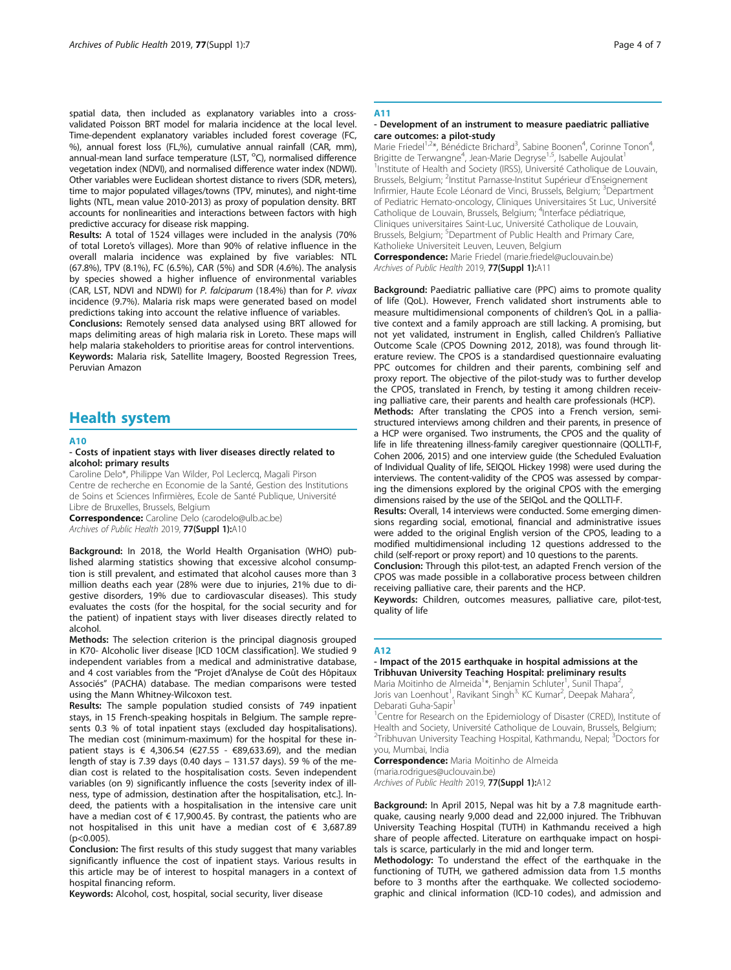spatial data, then included as explanatory variables into a crossvalidated Poisson BRT model for malaria incidence at the local level. Time-dependent explanatory variables included forest coverage (FC, %), annual forest loss (FL,%), cumulative annual rainfall (CAR, mm), annual-mean land surface temperature (LST, °C), normalised difference vegetation index (NDVI), and normalised difference water index (NDWI). Other variables were Euclidean shortest distance to rivers (SDR, meters), time to major populated villages/towns (TPV, minutes), and night-time lights (NTL, mean value 2010-2013) as proxy of population density. BRT accounts for nonlinearities and interactions between factors with high predictive accuracy for disease risk mapping.

Results: A total of 1524 villages were included in the analysis (70% of total Loreto's villages). More than 90% of relative influence in the overall malaria incidence was explained by five variables: NTL (67.8%), TPV (8.1%), FC (6.5%), CAR (5%) and SDR (4.6%). The analysis by species showed a higher influence of environmental variables (CAR, LST, NDVI and NDWI) for P. falciparum (18.4%) than for P. vivax incidence (9.7%). Malaria risk maps were generated based on model predictions taking into account the relative influence of variables.

Conclusions: Remotely sensed data analysed using BRT allowed for maps delimiting areas of high malaria risk in Loreto. These maps will help malaria stakeholders to prioritise areas for control interventions. Keywords: Malaria risk, Satellite Imagery, Boosted Regression Trees, Peruvian Amazon

# Health system

#### A10

#### - Costs of inpatient stays with liver diseases directly related to alcohol: primary results

Caroline Delo\*, Philippe Van Wilder, Pol Leclercq, Magali Pirson Centre de recherche en Economie de la Santé, Gestion des Institutions de Soins et Sciences Infirmières, Ecole de Santé Publique, Université Libre de Bruxelles, Brussels, Belgium

Correspondence: Caroline Delo (carodelo@ulb.ac.be) Archives of Public Health 2019, 77(Suppl 1):A10

Background: In 2018, the World Health Organisation (WHO) published alarming statistics showing that excessive alcohol consumption is still prevalent, and estimated that alcohol causes more than 3 million deaths each year (28% were due to injuries, 21% due to digestive disorders, 19% due to cardiovascular diseases). This study evaluates the costs (for the hospital, for the social security and for the patient) of inpatient stays with liver diseases directly related to alcohol.

Methods: The selection criterion is the principal diagnosis grouped in K70- Alcoholic liver disease [ICD 10CM classification]. We studied 9 independent variables from a medical and administrative database, and 4 cost variables from the "Projet d'Analyse de Coût des Hôpitaux Associés" (PACHA) database. The median comparisons were tested using the Mann Whitney-Wilcoxon test.

Results: The sample population studied consists of 749 inpatient stays, in 15 French-speaking hospitals in Belgium. The sample represents 0.3 % of total inpatient stays (excluded day hospitalisations). The median cost (minimum-maximum) for the hospital for these inpatient stays is € 4,306.54 (€27.55 - €89,633.69), and the median length of stay is 7.39 days (0.40 days – 131.57 days). 59 % of the median cost is related to the hospitalisation costs. Seven independent variables (on 9) significantly influence the costs [severity index of illness, type of admission, destination after the hospitalisation, etc.]. Indeed, the patients with a hospitalisation in the intensive care unit have a median cost of  $\epsilon$  17,900.45. By contrast, the patients who are not hospitalised in this unit have a median cost of € 3,687.89  $(p<0.005)$ .

Conclusion: The first results of this study suggest that many variables significantly influence the cost of inpatient stays. Various results in this article may be of interest to hospital managers in a context of hospital financing reform.

Keywords: Alcohol, cost, hospital, social security, liver disease

# A11

#### - Development of an instrument to measure paediatric palliative care outcomes: a pilot-study

Marie Friedel<sup>1,2\*</sup>, Bénédicte Brichard<sup>3</sup>, Sabine Boonen<sup>4</sup>, Corinne Tonon<sup>4</sup> , Brigitte de Terwangne<sup>4</sup>, Jean-Marie Degryse<sup>1,5</sup>, Isabelle Aujoulat<sup>1</sup> <sup>1</sup>Institute of Health and Society (IRSS), Université Catholique de Louvain, Brussels, Belgium; <sup>2</sup>Institut Parnasse-Institut Supérieur d'Enseignement Infirmier, Haute Ecole Léonard de Vinci, Brussels, Belgium; <sup>3</sup>Department of Pediatric Hemato-oncology, Cliniques Universitaires St Luc, Université Catholique de Louvain, Brussels, Belgium; <sup>4</sup>Interface pédiatrique Cliniques universitaires Saint-Luc, Université Catholique de Louvain, Brussels, Belgium; <sup>5</sup>Department of Public Health and Primary Care, Katholieke Universiteit Leuven, Leuven, Belgium

Correspondence: Marie Friedel (marie.friedel@uclouvain.be) Archives of Public Health 2019, 77(Suppl 1):A11

Background: Paediatric palliative care (PPC) aims to promote quality of life (QoL). However, French validated short instruments able to measure multidimensional components of children's QoL in a palliative context and a family approach are still lacking. A promising, but not yet validated, instrument in English, called Children's Palliative Outcome Scale (CPOS Downing 2012, 2018), was found through literature review. The CPOS is a standardised questionnaire evaluating PPC outcomes for children and their parents, combining self and proxy report. The objective of the pilot-study was to further develop the CPOS, translated in French, by testing it among children receiving palliative care, their parents and health care professionals (HCP). Methods: After translating the CPOS into a French version, semistructured interviews among children and their parents, in presence of a HCP were organised. Two instruments, the CPOS and the quality of

life in life threatening illness-family caregiver questionnaire (QOLLTI-F, Cohen 2006, 2015) and one interview guide (the Scheduled Evaluation of Individual Quality of life, SEIQOL Hickey 1998) were used during the interviews. The content-validity of the CPOS was assessed by comparing the dimensions explored by the original CPOS with the emerging dimensions raised by the use of the SEIQoL and the QOLLTI-F.

Results: Overall, 14 interviews were conducted. Some emerging dimensions regarding social, emotional, financial and administrative issues were added to the original English version of the CPOS, leading to a modified multidimensional including 12 questions addressed to the child (self-report or proxy report) and 10 questions to the parents.

Conclusion: Through this pilot-test, an adapted French version of the CPOS was made possible in a collaborative process between children receiving palliative care, their parents and the HCP.

Keywords: Children, outcomes measures, palliative care, pilot-test, quality of life

#### A<sub>12</sub>

# - Impact of the 2015 earthquake in hospital admissions at the Tribhuvan University Teaching Hospital: preliminary results

Maria Moitinho de Almeida<sup>1\*</sup>, Benjamin Schluter<sup>1</sup>, Sunil Thapa<sup>2</sup> , Joris van Loenhout<sup>1</sup>, Ravikant Singh<sup>3,</sup> KC Kumar<sup>2</sup>, Deepak Mahara<sup>2</sup> , Debarati Guha-Sapir1

<sup>1</sup>Centre for Research on the Epidemiology of Disaster (CRED), Institute of Health and Society, Université Catholique de Louvain, Brussels, Belgium; <sup>2</sup>Tribhuvan University Teaching Hospital, Kathmandu, Nepal; <sup>3</sup>Doctors for you, Mumbai, India

Correspondence: Maria Moitinho de Almeida

(maria.rodrigues@uclouvain.be)

Archives of Public Health 2019, 77(Suppl 1):A12

Background: In April 2015, Nepal was hit by a 7.8 magnitude earthquake, causing nearly 9,000 dead and 22,000 injured. The Tribhuvan University Teaching Hospital (TUTH) in Kathmandu received a high share of people affected. Literature on earthquake impact on hospitals is scarce, particularly in the mid and longer term.

Methodology: To understand the effect of the earthquake in the functioning of TUTH, we gathered admission data from 1.5 months before to 3 months after the earthquake. We collected sociodemographic and clinical information (ICD-10 codes), and admission and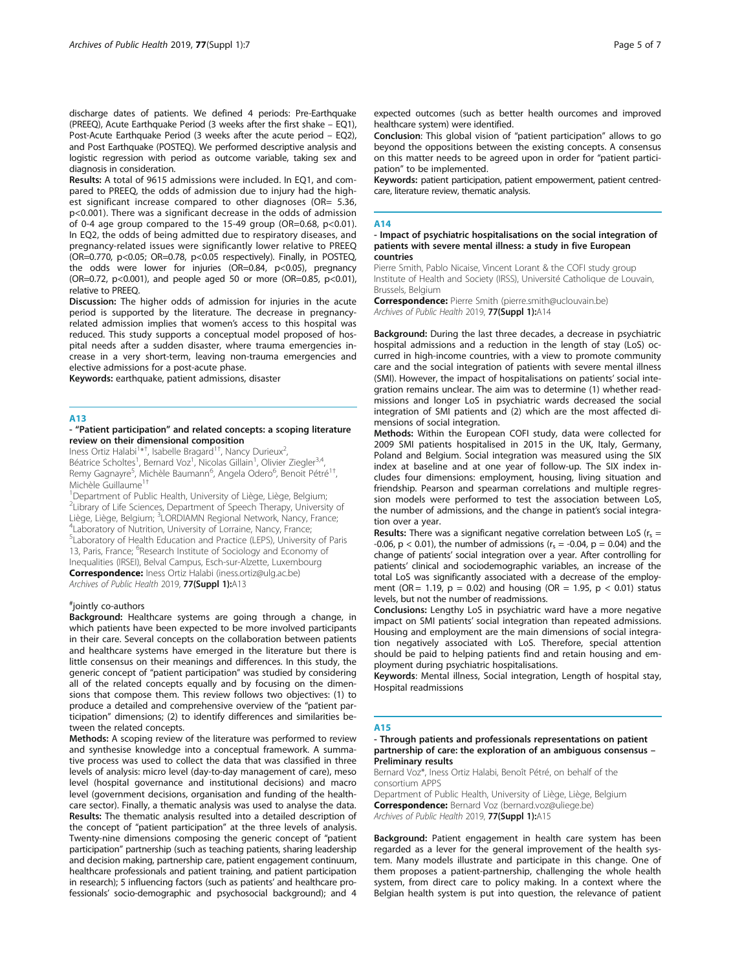discharge dates of patients. We defined 4 periods: Pre-Earthquake (PREEQ), Acute Earthquake Period (3 weeks after the first shake – EQ1), Post-Acute Earthquake Period (3 weeks after the acute period – EQ2), and Post Earthquake (POSTEQ). We performed descriptive analysis and logistic regression with period as outcome variable, taking sex and diagnosis in consideration.

Results: A total of 9615 admissions were included. In EQ1, and compared to PREEQ, the odds of admission due to injury had the highest significant increase compared to other diagnoses (OR= 5.36, p<0.001). There was a significant decrease in the odds of admission of 0-4 age group compared to the 15-49 group (OR=0.68,  $p<0.01$ ). In EQ2, the odds of being admitted due to respiratory diseases, and pregnancy-related issues were significantly lower relative to PREEQ (OR=0.770, p<0.05; OR=0.78, p<0.05 respectively). Finally, in POSTEQ, the odds were lower for injuries (OR=0.84,  $p<0.05$ ), pregnancy (OR=0.72, p<0.001), and people aged 50 or more (OR=0.85, p<0.01), relative to PREEQ.

Discussion: The higher odds of admission for injuries in the acute period is supported by the literature. The decrease in pregnancyrelated admission implies that women's access to this hospital was reduced. This study supports a conceptual model proposed of hospital needs after a sudden disaster, where trauma emergencies increase in a very short-term, leaving non-trauma emergencies and elective admissions for a post-acute phase.

Keywords: earthquake, patient admissions, disaster

#### A13

# - "Patient participation" and related concepts: a scoping literature review on their dimensional composition

Iness Ortiz Halabi<sup>1\*†</sup>, Isabelle Bragard<sup>1†</sup>, Nancy Durieux<sup>2</sup> , Béatrice Scholtes<sup>1</sup>, Bernard Voz<sup>1</sup>, Nicolas Gillain<sup>1</sup>, Olivier Ziegler<sup>3,4</sup>, Remy Gagnayre<sup>5</sup>, Michèle Baumann<sup>6</sup>, Angela Odero<sup>6</sup>, Benoit Pétré<sup>1†</sup> , Michèle Guillaume<sup>11</sup>

<sup>1</sup>Department of Public Health, University of Liège, Liège, Belgium; 2 Library of Life Sciences, Department of Speech Therapy, University of Liège, Liège, Belgium; <sup>3</sup> LORDIAMN Regional Network, Nancy, France;<br><sup>4</sup>Laberatory of Nutrition, University of Lorraine, Nancy, France; <sup>4</sup> Laboratory of Nutrition, University of Lorraine, Nancy, France; 5 Laboratory of Health Education and Practice (LEPS), University of Paris 13, Paris, France; <sup>6</sup>Research Institute of Sociology and Economy of Inequalities (IRSEI), Belval Campus, Esch-sur-Alzette, Luxembourg Correspondence: Iness Ortiz Halabi (iness.ortiz@ulg.ac.be) Archives of Public Health 2019, 77(Suppl 1):A13

# # jointly co-authors

Background: Healthcare systems are going through a change, in which patients have been expected to be more involved participants in their care. Several concepts on the collaboration between patients and healthcare systems have emerged in the literature but there is little consensus on their meanings and differences. In this study, the generic concept of "patient participation" was studied by considering all of the related concepts equally and by focusing on the dimensions that compose them. This review follows two objectives: (1) to produce a detailed and comprehensive overview of the "patient participation" dimensions; (2) to identify differences and similarities between the related concepts.

Methods: A scoping review of the literature was performed to review and synthesise knowledge into a conceptual framework. A summative process was used to collect the data that was classified in three levels of analysis: micro level (day-to-day management of care), meso level (hospital governance and institutional decisions) and macro level (government decisions, organisation and funding of the healthcare sector). Finally, a thematic analysis was used to analyse the data. Results: The thematic analysis resulted into a detailed description of the concept of "patient participation" at the three levels of analysis. Twenty-nine dimensions composing the generic concept of "patient participation" partnership (such as teaching patients, sharing leadership and decision making, partnership care, patient engagement continuum, healthcare professionals and patient training, and patient participation in research); 5 influencing factors (such as patients' and healthcare professionals' socio-demographic and psychosocial background); and 4

expected outcomes (such as better health ourcomes and improved healthcare system) were identified.

Conclusion: This global vision of "patient participation" allows to go beyond the oppositions between the existing concepts. A consensus on this matter needs to be agreed upon in order for "patient participation" to be implemented.

Keywords: patient participation, patient empowerment, patient centredcare, literature review, thematic analysis.

#### A14

#### - Impact of psychiatric hospitalisations on the social integration of patients with severe mental illness: a study in five European countries

Pierre Smith, Pablo Nicaise, Vincent Lorant & the COFI study group Institute of Health and Society (IRSS), Université Catholique de Louvain, Brussels, Belgium

Correspondence: Pierre Smith (pierre.smith@uclouvain.be) Archives of Public Health 2019, 77(Suppl 1):A14

Background: During the last three decades, a decrease in psychiatric hospital admissions and a reduction in the length of stay (LoS) occurred in high-income countries, with a view to promote community care and the social integration of patients with severe mental illness (SMI). However, the impact of hospitalisations on patients' social integration remains unclear. The aim was to determine (1) whether readmissions and longer LoS in psychiatric wards decreased the social integration of SMI patients and (2) which are the most affected dimensions of social integration.

Methods: Within the European COFI study, data were collected for 2009 SMI patients hospitalised in 2015 in the UK, Italy, Germany, Poland and Belgium. Social integration was measured using the SIX index at baseline and at one year of follow-up. The SIX index includes four dimensions: employment, housing, living situation and friendship. Pearson and spearman correlations and multiple regression models were performed to test the association between LoS, the number of admissions, and the change in patient's social integration over a year.

**Results:** There was a significant negative correlation between LoS ( $r_s$  = -0.06,  $p < 0.01$ ), the number of admissions ( $r_s = -0.04$ ,  $p = 0.04$ ) and the change of patients' social integration over a year. After controlling for patients' clinical and sociodemographic variables, an increase of the total LoS was significantly associated with a decrease of the employment (OR = 1.19,  $p = 0.02$ ) and housing (OR = 1.95,  $p < 0.01$ ) status levels, but not the number of readmissions.

Conclusions: Lengthy LoS in psychiatric ward have a more negative impact on SMI patients' social integration than repeated admissions. Housing and employment are the main dimensions of social integration negatively associated with LoS. Therefore, special attention should be paid to helping patients find and retain housing and employment during psychiatric hospitalisations.

Keywords: Mental illness, Social integration, Length of hospital stay, Hospital readmissions

#### A15

# - Through patients and professionals representations on patient partnership of care: the exploration of an ambiguous consensus – Preliminary results

Bernard Voz\*, Iness Ortiz Halabi, Benoît Pétré, on behalf of the consortium APPS

Department of Public Health, University of Liège, Liège, Belgium Correspondence: Bernard Voz (bernard.voz@uliege.be) Archives of Public Health 2019, 77(Suppl 1):A15

Background: Patient engagement in health care system has been regarded as a lever for the general improvement of the health system. Many models illustrate and participate in this change. One of them proposes a patient-partnership, challenging the whole health system, from direct care to policy making. In a context where the Belgian health system is put into question, the relevance of patient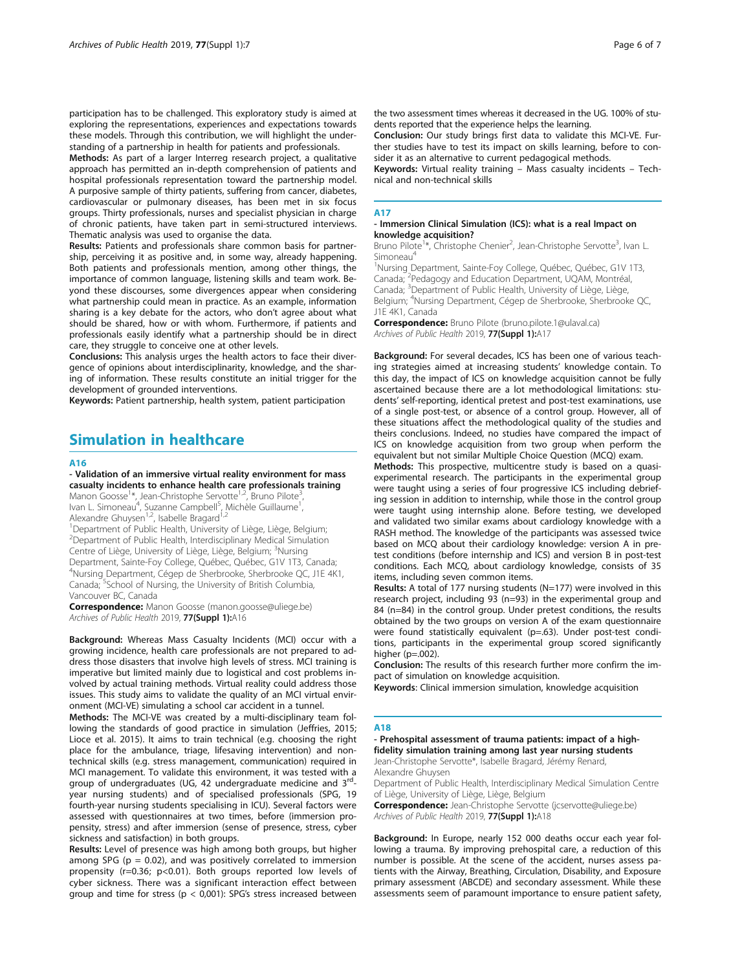participation has to be challenged. This exploratory study is aimed at exploring the representations, experiences and expectations towards these models. Through this contribution, we will highlight the understanding of a partnership in health for patients and professionals.

Methods: As part of a larger Interreg research project, a qualitative approach has permitted an in-depth comprehension of patients and hospital professionals representation toward the partnership model. A purposive sample of thirty patients, suffering from cancer, diabetes, cardiovascular or pulmonary diseases, has been met in six focus groups. Thirty professionals, nurses and specialist physician in charge of chronic patients, have taken part in semi-structured interviews. Thematic analysis was used to organise the data.

Results: Patients and professionals share common basis for partnership, perceiving it as positive and, in some way, already happening. Both patients and professionals mention, among other things, the importance of common language, listening skills and team work. Beyond these discourses, some divergences appear when considering what partnership could mean in practice. As an example, information sharing is a key debate for the actors, who don't agree about what should be shared, how or with whom. Furthermore, if patients and professionals easily identify what a partnership should be in direct care, they struggle to conceive one at other levels.

Conclusions: This analysis urges the health actors to face their divergence of opinions about interdisciplinarity, knowledge, and the sharing of information. These results constitute an initial trigger for the development of grounded interventions.

Keywords: Patient partnership, health system, patient participation

# Simulation in healthcare

#### A16

- Validation of an immersive virtual reality environment for mass casualty incidents to enhance health care professionals training Manon Goosse<sup>1\*</sup>, Jean-Christophe Servotte<sup>1,2</sup>, Bruno Pilote<sup>3</sup> ,

Ivan L. Simoneau<sup>4</sup>, Suzanne Campbell<sup>5</sup>, Michèle Guillaume<sup>1</sup> , Alexandre Ghuysen<sup>1,2</sup>, Isabelle Bragard<sup>1,2</sup>

<sup>1</sup>Department of Public Health, University of Liège, Liège, Belgium; 2 Department of Public Health, Interdisciplinary Medical Simulation Centre of Liège, University of Liège, Liège, Belgium; <sup>3</sup>Nursing Department, Sainte-Foy College, Québec, Québec, G1V 1T3, Canada; 4 Nursing Department, Cégep de Sherbrooke, Sherbrooke QC, J1E 4K1, Canada; <sup>5</sup>School of Nursing, the University of British Columbia, Vancouver BC, Canada

Correspondence: Manon Goosse (manon.goosse@uliege.be) Archives of Public Health 2019, 77(Suppl 1):A16

Background: Whereas Mass Casualty Incidents (MCI) occur with a growing incidence, health care professionals are not prepared to address those disasters that involve high levels of stress. MCI training is imperative but limited mainly due to logistical and cost problems involved by actual training methods. Virtual reality could address those issues. This study aims to validate the quality of an MCI virtual environment (MCI-VE) simulating a school car accident in a tunnel.

Methods: The MCI-VE was created by a multi-disciplinary team following the standards of good practice in simulation (Jeffries, 2015; Lioce et al. 2015). It aims to train technical (e.g. choosing the right place for the ambulance, triage, lifesaving intervention) and nontechnical skills (e.g. stress management, communication) required in MCI management. To validate this environment, it was tested with a group of undergraduates (UG, 42 undergraduate medicine and 3rdyear nursing students) and of specialised professionals (SPG, 19 fourth-year nursing students specialising in ICU). Several factors were assessed with questionnaires at two times, before (immersion propensity, stress) and after immersion (sense of presence, stress, cyber sickness and satisfaction) in both groups.

Results: Level of presence was high among both groups, but higher among SPG ( $p = 0.02$ ), and was positively correlated to immersion propensity (r=0.36; p<0.01). Both groups reported low levels of cyber sickness. There was a significant interaction effect between group and time for stress ( $p < 0.001$ ): SPG's stress increased between

the two assessment times whereas it decreased in the UG. 100% of students reported that the experience helps the learning.

Conclusion: Our study brings first data to validate this MCI-VE. Further studies have to test its impact on skills learning, before to consider it as an alternative to current pedagogical methods.

Keywords: Virtual reality training – Mass casualty incidents – Technical and non-technical skills

#### A17

# - Immersion Clinical Simulation (ICS): what is a real Impact on knowledge acquisition?

Bruno Pilote<sup>1\*</sup>, Christophe Chenier<sup>2</sup>, Jean-Christophe Servotte<sup>3</sup>, Ivan L Simoneau<sup>4</sup> <sup>1</sup>Nursing Department, Sainte-Foy College, Québec, Québec, G1V 1T3

Canada; <sup>2</sup>Pedagogy and Education Department, UQAM, Montréal Canada; <sup>3</sup>Department of Public Health, University of Liège, Liège, Belgium; <sup>4</sup>Nursing Department, Cégep de Sherbrooke, Sherbrooke QC, J1E 4K1, Canada

Correspondence: Bruno Pilote (bruno.pilote.1@ulaval.ca) Archives of Public Health 2019, 77(Suppl 1):A17

Background: For several decades, ICS has been one of various teaching strategies aimed at increasing students' knowledge contain. To this day, the impact of ICS on knowledge acquisition cannot be fully ascertained because there are a lot methodological limitations: students' self-reporting, identical pretest and post-test examinations, use of a single post-test, or absence of a control group. However, all of these situations affect the methodological quality of the studies and theirs conclusions. Indeed, no studies have compared the impact of ICS on knowledge acquisition from two group when perform the equivalent but not similar Multiple Choice Question (MCQ) exam.

Methods: This prospective, multicentre study is based on a quasiexperimental research. The participants in the experimental group were taught using a series of four progressive ICS including debriefing session in addition to internship, while those in the control group were taught using internship alone. Before testing, we developed and validated two similar exams about cardiology knowledge with a RASH method. The knowledge of the participants was assessed twice based on MCQ about their cardiology knowledge: version A in pretest conditions (before internship and ICS) and version B in post-test conditions. Each MCQ, about cardiology knowledge, consists of 35 items, including seven common items.

Results: A total of 177 nursing students (N=177) were involved in this research project, including 93 (n=93) in the experimental group and 84 (n=84) in the control group. Under pretest conditions, the results obtained by the two groups on version A of the exam questionnaire were found statistically equivalent (p=.63). Under post-test conditions, participants in the experimental group scored significantly higher  $(p=002)$ .

Conclusion: The results of this research further more confirm the impact of simulation on knowledge acquisition.

Keywords: Clinical immersion simulation, knowledge acquisition

#### A18

- Prehospital assessment of trauma patients: impact of a highfidelity simulation training among last year nursing students Jean-Christophe Servotte\*, Isabelle Bragard, Jérémy Renard,

Alexandre Ghuysen

Department of Public Health, Interdisciplinary Medical Simulation Centre of Liège, University of Liège, Liège, Belgium

Correspondence: Jean-Christophe Servotte (jcservotte@uliege.be) Archives of Public Health 2019, 77(Suppl 1):A18

Background: In Europe, nearly 152 000 deaths occur each year following a trauma. By improving prehospital care, a reduction of this number is possible. At the scene of the accident, nurses assess patients with the Airway, Breathing, Circulation, Disability, and Exposure primary assessment (ABCDE) and secondary assessment. While these assessments seem of paramount importance to ensure patient safety,